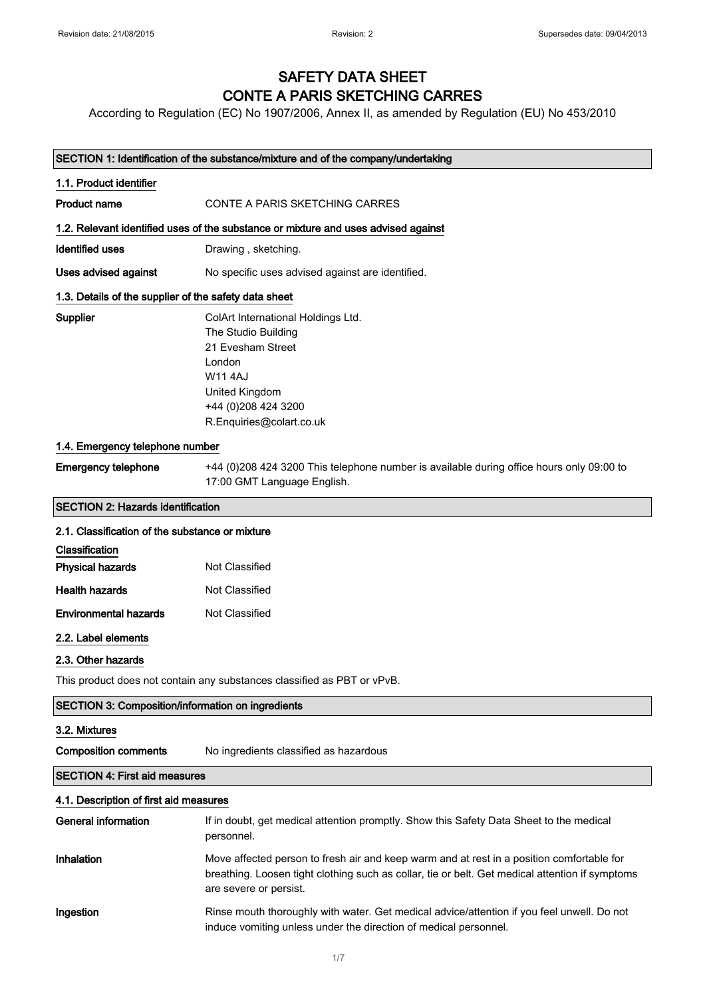### SAFETY DATA SHEET CONTE A PARIS SKETCHING CARRES

According to Regulation (EC) No 1907/2006, Annex II, as amended by Regulation (EU) No 453/2010

| SECTION 1: Identification of the substance/mixture and of the company/undertaking |                                                                                                                                                                                                                        |
|-----------------------------------------------------------------------------------|------------------------------------------------------------------------------------------------------------------------------------------------------------------------------------------------------------------------|
| 1.1. Product identifier                                                           |                                                                                                                                                                                                                        |
| <b>Product name</b>                                                               | CONTE A PARIS SKETCHING CARRES                                                                                                                                                                                         |
|                                                                                   | 1.2. Relevant identified uses of the substance or mixture and uses advised against                                                                                                                                     |
| <b>Identified uses</b>                                                            | Drawing, sketching.                                                                                                                                                                                                    |
| Uses advised against                                                              | No specific uses advised against are identified.                                                                                                                                                                       |
| 1.3. Details of the supplier of the safety data sheet                             |                                                                                                                                                                                                                        |
| Supplier                                                                          | ColArt International Holdings Ltd.<br>The Studio Building<br>21 Evesham Street<br>London<br>W11 4AJ<br>United Kingdom<br>+44 (0) 208 424 3200<br>R.Enquiries@colart.co.uk                                              |
| 1.4. Emergency telephone number                                                   |                                                                                                                                                                                                                        |
| <b>Emergency telephone</b>                                                        | +44 (0)208 424 3200 This telephone number is available during office hours only 09:00 to<br>17:00 GMT Language English.                                                                                                |
| <b>SECTION 2: Hazards identification</b>                                          |                                                                                                                                                                                                                        |
| 2.1. Classification of the substance or mixture                                   |                                                                                                                                                                                                                        |
| Classification                                                                    |                                                                                                                                                                                                                        |
| <b>Physical hazards</b>                                                           | Not Classified                                                                                                                                                                                                         |
| <b>Health hazards</b>                                                             | Not Classified                                                                                                                                                                                                         |
| <b>Environmental hazards</b>                                                      | Not Classified                                                                                                                                                                                                         |
| 2.2. Label elements                                                               |                                                                                                                                                                                                                        |
| 2.3. Other hazards                                                                |                                                                                                                                                                                                                        |
|                                                                                   | This product does not contain any substances classified as PBT or vPvB.                                                                                                                                                |
| <b>SECTION 3: Composition/information on ingredients</b>                          |                                                                                                                                                                                                                        |
| 3.2. Mixtures                                                                     |                                                                                                                                                                                                                        |
| <b>Composition comments</b>                                                       | No ingredients classified as hazardous                                                                                                                                                                                 |
| <b>SECTION 4: First aid measures</b>                                              |                                                                                                                                                                                                                        |
| 4.1. Description of first aid measures                                            |                                                                                                                                                                                                                        |
| <b>General information</b>                                                        | If in doubt, get medical attention promptly. Show this Safety Data Sheet to the medical<br>personnel.                                                                                                                  |
| Inhalation                                                                        | Move affected person to fresh air and keep warm and at rest in a position comfortable for<br>breathing. Loosen tight clothing such as collar, tie or belt. Get medical attention if symptoms<br>are severe or persist. |
| Ingestion                                                                         | Rinse mouth thoroughly with water. Get medical advice/attention if you feel unwell. Do not<br>induce vomiting unless under the direction of medical personnel.                                                         |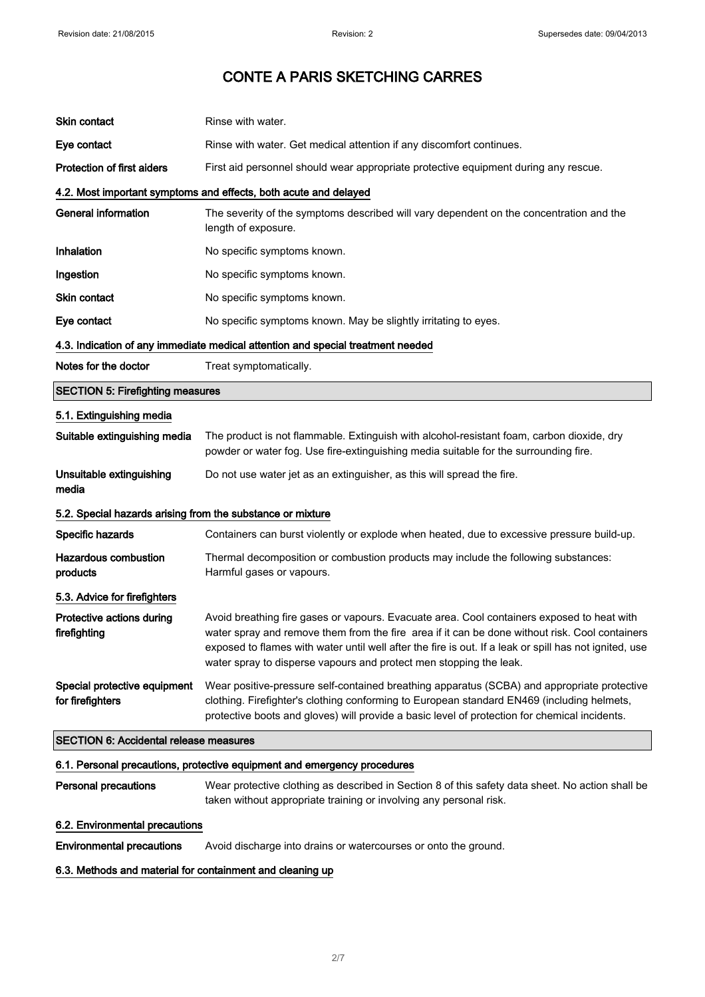| Skin contact                                                                    | Rinse with water.                                                                                                                                                                                                                                                                                                                                                            |
|---------------------------------------------------------------------------------|------------------------------------------------------------------------------------------------------------------------------------------------------------------------------------------------------------------------------------------------------------------------------------------------------------------------------------------------------------------------------|
| Eye contact                                                                     | Rinse with water. Get medical attention if any discomfort continues.                                                                                                                                                                                                                                                                                                         |
| <b>Protection of first aiders</b>                                               | First aid personnel should wear appropriate protective equipment during any rescue.                                                                                                                                                                                                                                                                                          |
|                                                                                 | 4.2. Most important symptoms and effects, both acute and delayed                                                                                                                                                                                                                                                                                                             |
| <b>General information</b>                                                      | The severity of the symptoms described will vary dependent on the concentration and the<br>length of exposure.                                                                                                                                                                                                                                                               |
| Inhalation                                                                      | No specific symptoms known.                                                                                                                                                                                                                                                                                                                                                  |
| Ingestion                                                                       | No specific symptoms known.                                                                                                                                                                                                                                                                                                                                                  |
| Skin contact                                                                    | No specific symptoms known.                                                                                                                                                                                                                                                                                                                                                  |
| Eye contact                                                                     | No specific symptoms known. May be slightly irritating to eyes.                                                                                                                                                                                                                                                                                                              |
| 4.3. Indication of any immediate medical attention and special treatment needed |                                                                                                                                                                                                                                                                                                                                                                              |
| Notes for the doctor                                                            | Treat symptomatically.                                                                                                                                                                                                                                                                                                                                                       |
| <b>SECTION 5: Firefighting measures</b>                                         |                                                                                                                                                                                                                                                                                                                                                                              |
| 5.1. Extinguishing media                                                        |                                                                                                                                                                                                                                                                                                                                                                              |
| Suitable extinguishing media                                                    | The product is not flammable. Extinguish with alcohol-resistant foam, carbon dioxide, dry<br>powder or water fog. Use fire-extinguishing media suitable for the surrounding fire.                                                                                                                                                                                            |
| Unsuitable extinguishing<br>media                                               | Do not use water jet as an extinguisher, as this will spread the fire.                                                                                                                                                                                                                                                                                                       |
| 5.2. Special hazards arising from the substance or mixture                      |                                                                                                                                                                                                                                                                                                                                                                              |
| Specific hazards                                                                | Containers can burst violently or explode when heated, due to excessive pressure build-up.                                                                                                                                                                                                                                                                                   |
| <b>Hazardous combustion</b><br>products                                         | Thermal decomposition or combustion products may include the following substances:<br>Harmful gases or vapours.                                                                                                                                                                                                                                                              |
| 5.3. Advice for firefighters                                                    |                                                                                                                                                                                                                                                                                                                                                                              |
| Protective actions during<br>firefighting                                       | Avoid breathing fire gases or vapours. Evacuate area. Cool containers exposed to heat with<br>water spray and remove them from the fire area if it can be done without risk. Cool containers<br>exposed to flames with water until well after the fire is out. If a leak or spill has not ignited, use<br>water spray to disperse vapours and protect men stopping the leak. |
| Special protective equipment<br>for firefighters                                | Wear positive-pressure self-contained breathing apparatus (SCBA) and appropriate protective<br>clothing. Firefighter's clothing conforming to European standard EN469 (including helmets,<br>protective boots and gloves) will provide a basic level of protection for chemical incidents.                                                                                   |
| <b>SECTION 6: Accidental release measures</b>                                   |                                                                                                                                                                                                                                                                                                                                                                              |
| 6.1. Personal precautions, protective equipment and emergency procedures        |                                                                                                                                                                                                                                                                                                                                                                              |
| <b>Personal precautions</b>                                                     | Wear protective clothing as described in Section 8 of this safety data sheet. No action shall be                                                                                                                                                                                                                                                                             |

# taken without appropriate training or involving any personal risk.

6.2. Environmental precautions

Environmental precautions Avoid discharge into drains or watercourses or onto the ground.

### 6.3. Methods and material for containment and cleaning up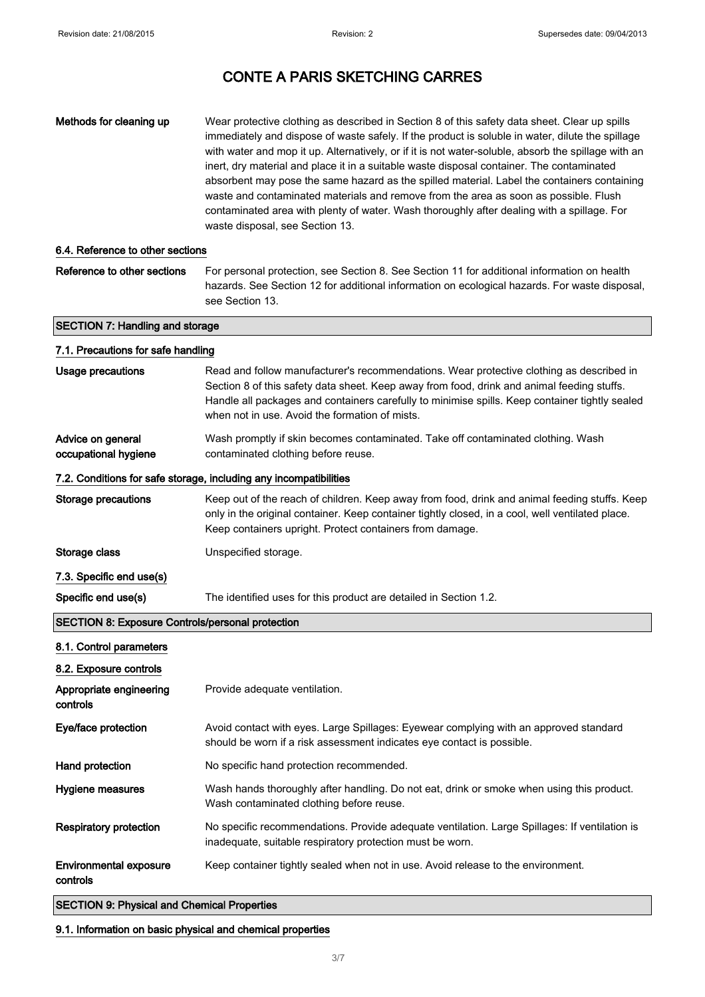| Methods for cleaning up                                           | Wear protective clothing as described in Section 8 of this safety data sheet. Clear up spills<br>immediately and dispose of waste safely. If the product is soluble in water, dilute the spillage<br>with water and mop it up. Alternatively, or if it is not water-soluble, absorb the spillage with an<br>inert, dry material and place it in a suitable waste disposal container. The contaminated<br>absorbent may pose the same hazard as the spilled material. Label the containers containing<br>waste and contaminated materials and remove from the area as soon as possible. Flush<br>contaminated area with plenty of water. Wash thoroughly after dealing with a spillage. For<br>waste disposal, see Section 13. |
|-------------------------------------------------------------------|-------------------------------------------------------------------------------------------------------------------------------------------------------------------------------------------------------------------------------------------------------------------------------------------------------------------------------------------------------------------------------------------------------------------------------------------------------------------------------------------------------------------------------------------------------------------------------------------------------------------------------------------------------------------------------------------------------------------------------|
| 6.4. Reference to other sections                                  |                                                                                                                                                                                                                                                                                                                                                                                                                                                                                                                                                                                                                                                                                                                               |
| Reference to other sections                                       | For personal protection, see Section 8. See Section 11 for additional information on health<br>hazards. See Section 12 for additional information on ecological hazards. For waste disposal,<br>see Section 13.                                                                                                                                                                                                                                                                                                                                                                                                                                                                                                               |
| <b>SECTION 7: Handling and storage</b>                            |                                                                                                                                                                                                                                                                                                                                                                                                                                                                                                                                                                                                                                                                                                                               |
| 7.1. Precautions for safe handling                                |                                                                                                                                                                                                                                                                                                                                                                                                                                                                                                                                                                                                                                                                                                                               |
| <b>Usage precautions</b>                                          | Read and follow manufacturer's recommendations. Wear protective clothing as described in<br>Section 8 of this safety data sheet. Keep away from food, drink and animal feeding stuffs.<br>Handle all packages and containers carefully to minimise spills. Keep container tightly sealed<br>when not in use. Avoid the formation of mists.                                                                                                                                                                                                                                                                                                                                                                                    |
| Advice on general<br>occupational hygiene                         | Wash promptly if skin becomes contaminated. Take off contaminated clothing. Wash<br>contaminated clothing before reuse.                                                                                                                                                                                                                                                                                                                                                                                                                                                                                                                                                                                                       |
| 7.2. Conditions for safe storage, including any incompatibilities |                                                                                                                                                                                                                                                                                                                                                                                                                                                                                                                                                                                                                                                                                                                               |
| <b>Storage precautions</b>                                        | Keep out of the reach of children. Keep away from food, drink and animal feeding stuffs. Keep<br>only in the original container. Keep container tightly closed, in a cool, well ventilated place.<br>Keep containers upright. Protect containers from damage.                                                                                                                                                                                                                                                                                                                                                                                                                                                                 |
| Storage class                                                     | Unspecified storage.                                                                                                                                                                                                                                                                                                                                                                                                                                                                                                                                                                                                                                                                                                          |
| 7.3. Specific end use(s)                                          |                                                                                                                                                                                                                                                                                                                                                                                                                                                                                                                                                                                                                                                                                                                               |
| Specific end use(s)                                               | The identified uses for this product are detailed in Section 1.2.                                                                                                                                                                                                                                                                                                                                                                                                                                                                                                                                                                                                                                                             |
| <b>SECTION 8: Exposure Controls/personal protection</b>           |                                                                                                                                                                                                                                                                                                                                                                                                                                                                                                                                                                                                                                                                                                                               |
| 8.1. Control parameters                                           |                                                                                                                                                                                                                                                                                                                                                                                                                                                                                                                                                                                                                                                                                                                               |
| 8.2. Exposure controls                                            |                                                                                                                                                                                                                                                                                                                                                                                                                                                                                                                                                                                                                                                                                                                               |
| Appropriate engineering<br>controls                               | Provide adequate ventilation.                                                                                                                                                                                                                                                                                                                                                                                                                                                                                                                                                                                                                                                                                                 |
| Eye/face protection                                               | Avoid contact with eyes. Large Spillages: Eyewear complying with an approved standard<br>should be worn if a risk assessment indicates eye contact is possible.                                                                                                                                                                                                                                                                                                                                                                                                                                                                                                                                                               |
| Hand protection                                                   | No specific hand protection recommended.                                                                                                                                                                                                                                                                                                                                                                                                                                                                                                                                                                                                                                                                                      |
| Hygiene measures                                                  | Wash hands thoroughly after handling. Do not eat, drink or smoke when using this product.<br>Wash contaminated clothing before reuse.                                                                                                                                                                                                                                                                                                                                                                                                                                                                                                                                                                                         |
| <b>Respiratory protection</b>                                     | No specific recommendations. Provide adequate ventilation. Large Spillages: If ventilation is<br>inadequate, suitable respiratory protection must be worn.                                                                                                                                                                                                                                                                                                                                                                                                                                                                                                                                                                    |
| <b>Environmental exposure</b><br>controls                         | Keep container tightly sealed when not in use. Avoid release to the environment.                                                                                                                                                                                                                                                                                                                                                                                                                                                                                                                                                                                                                                              |
| <b>SECTION 9: Physical and Chemical Properties</b>                |                                                                                                                                                                                                                                                                                                                                                                                                                                                                                                                                                                                                                                                                                                                               |

9.1. Information on basic physical and chemical properties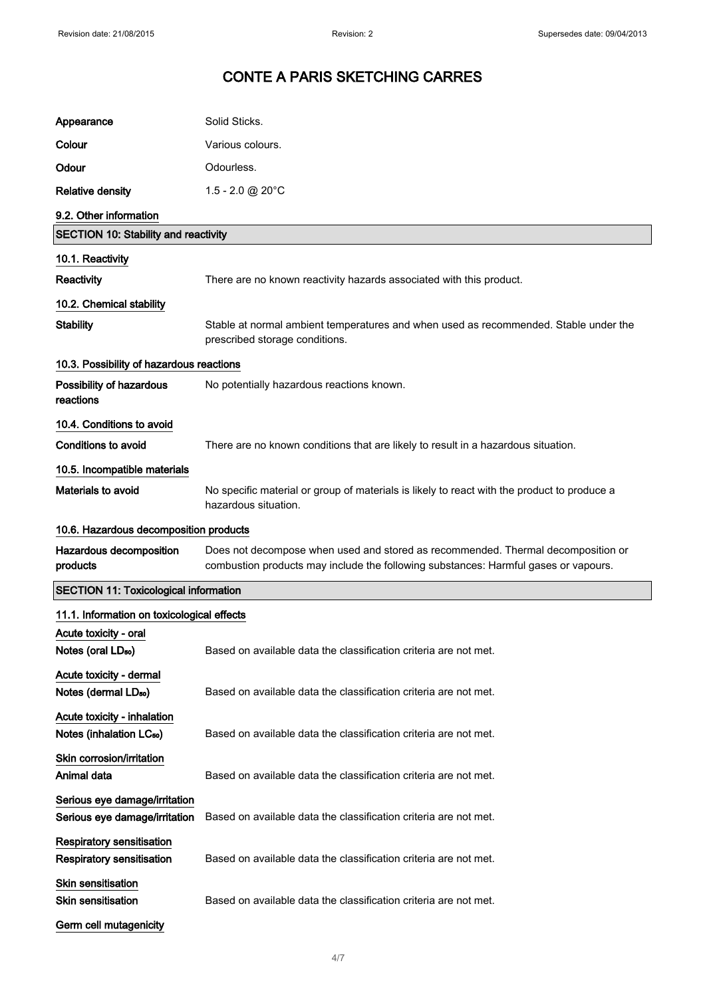| Appearance                                                           | Solid Sticks.                                                                                                                                                           |
|----------------------------------------------------------------------|-------------------------------------------------------------------------------------------------------------------------------------------------------------------------|
| Colour                                                               | Various colours.                                                                                                                                                        |
| Odour                                                                | Odourless.                                                                                                                                                              |
| <b>Relative density</b>                                              | $1.5 - 2.0 \text{ @ } 20^{\circ}$ C                                                                                                                                     |
| 9.2. Other information                                               |                                                                                                                                                                         |
| <b>SECTION 10: Stability and reactivity</b>                          |                                                                                                                                                                         |
| 10.1. Reactivity                                                     |                                                                                                                                                                         |
| Reactivity                                                           | There are no known reactivity hazards associated with this product.                                                                                                     |
| 10.2. Chemical stability                                             |                                                                                                                                                                         |
| <b>Stability</b>                                                     | Stable at normal ambient temperatures and when used as recommended. Stable under the<br>prescribed storage conditions.                                                  |
| 10.3. Possibility of hazardous reactions                             |                                                                                                                                                                         |
| Possibility of hazardous<br>reactions                                | No potentially hazardous reactions known.                                                                                                                               |
| 10.4. Conditions to avoid                                            |                                                                                                                                                                         |
| <b>Conditions to avoid</b>                                           | There are no known conditions that are likely to result in a hazardous situation.                                                                                       |
| 10.5. Incompatible materials                                         |                                                                                                                                                                         |
| Materials to avoid                                                   | No specific material or group of materials is likely to react with the product to produce a<br>hazardous situation.                                                     |
| 10.6. Hazardous decomposition products                               |                                                                                                                                                                         |
| Hazardous decomposition<br>products                                  | Does not decompose when used and stored as recommended. Thermal decomposition or<br>combustion products may include the following substances: Harmful gases or vapours. |
| <b>SECTION 11: Toxicological information</b>                         |                                                                                                                                                                         |
| 11.1. Information on toxicological effects                           |                                                                                                                                                                         |
| Acute toxicity - oral<br>Notes (oral LD <sub>50</sub> )              | Based on available data the classification criteria are not met.                                                                                                        |
| Acute toxicity - dermal<br>Notes (dermal LD <sub>50</sub> )          | Based on available data the classification criteria are not met.                                                                                                        |
| Acute toxicity - inhalation<br>Notes (inhalation LC <sub>50</sub> )  | Based on available data the classification criteria are not met.                                                                                                        |
| Skin corrosion/irritation<br>Animal data                             | Based on available data the classification criteria are not met.                                                                                                        |
| Serious eye damage/irritation<br>Serious eye damage/irritation       | Based on available data the classification criteria are not met.                                                                                                        |
| <b>Respiratory sensitisation</b><br><b>Respiratory sensitisation</b> | Based on available data the classification criteria are not met.                                                                                                        |
| Skin sensitisation<br><b>Skin sensitisation</b>                      | Based on available data the classification criteria are not met.                                                                                                        |
| Germ cell mutagenicity                                               |                                                                                                                                                                         |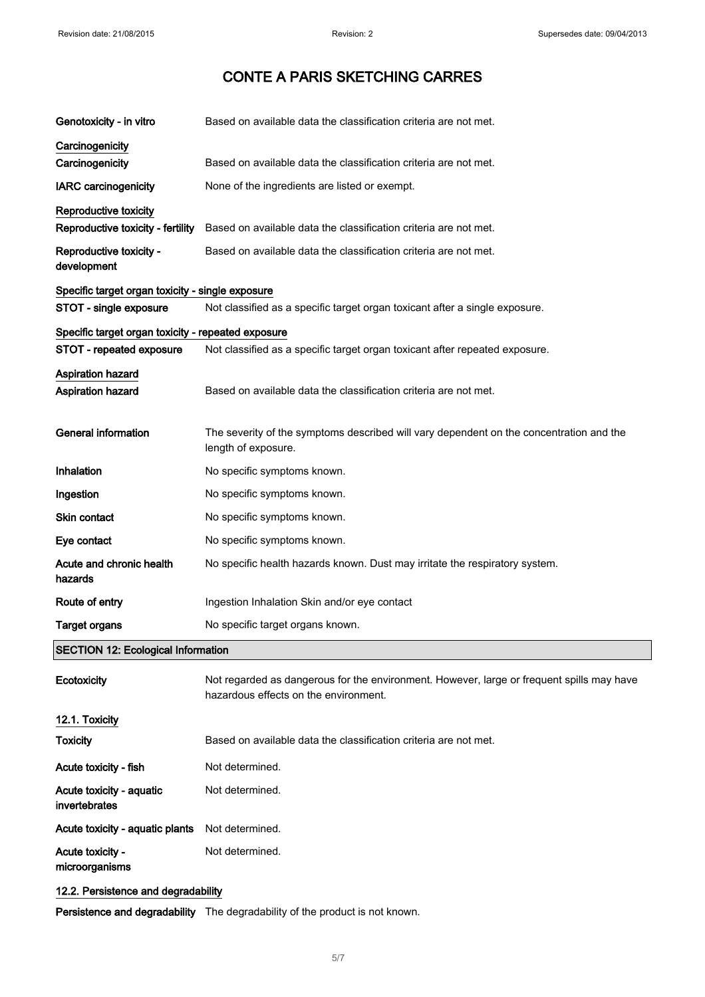| Genotoxicity - in vitro                            | Based on available data the classification criteria are not met.                                               |
|----------------------------------------------------|----------------------------------------------------------------------------------------------------------------|
| Carcinogenicity                                    |                                                                                                                |
| Carcinogenicity                                    | Based on available data the classification criteria are not met.                                               |
| <b>IARC</b> carcinogenicity                        | None of the ingredients are listed or exempt.                                                                  |
| Reproductive toxicity                              |                                                                                                                |
| Reproductive toxicity - fertility                  | Based on available data the classification criteria are not met.                                               |
| Reproductive toxicity -<br>development             | Based on available data the classification criteria are not met.                                               |
| Specific target organ toxicity - single exposure   |                                                                                                                |
| STOT - single exposure                             | Not classified as a specific target organ toxicant after a single exposure.                                    |
| Specific target organ toxicity - repeated exposure |                                                                                                                |
| STOT - repeated exposure                           | Not classified as a specific target organ toxicant after repeated exposure.                                    |
| <b>Aspiration hazard</b>                           |                                                                                                                |
| Aspiration hazard                                  | Based on available data the classification criteria are not met.                                               |
|                                                    |                                                                                                                |
| <b>General information</b>                         | The severity of the symptoms described will vary dependent on the concentration and the<br>length of exposure. |
| Inhalation                                         | No specific symptoms known.                                                                                    |
| Ingestion                                          | No specific symptoms known.                                                                                    |
| <b>Skin contact</b>                                | No specific symptoms known.                                                                                    |
| Eye contact                                        | No specific symptoms known.                                                                                    |
| Acute and chronic health<br>hazards                | No specific health hazards known. Dust may irritate the respiratory system.                                    |
| Route of entry                                     | Ingestion Inhalation Skin and/or eye contact                                                                   |
| <b>Target organs</b>                               | No specific target organs known.                                                                               |
| <b>SECTION 12: Ecological Information</b>          |                                                                                                                |
|                                                    |                                                                                                                |

| Ecotoxicity                               | Not regarded as dangerous for the environment. However, large or frequent spills may have<br>hazardous effects on the environment. |
|-------------------------------------------|------------------------------------------------------------------------------------------------------------------------------------|
| 12.1. Toxicity                            |                                                                                                                                    |
| <b>Toxicity</b>                           | Based on available data the classification criteria are not met.                                                                   |
| Acute toxicity - fish                     | Not determined.                                                                                                                    |
| Acute toxicity - aquatic<br>invertebrates | Not determined.                                                                                                                    |
| Acute toxicity - aquatic plants           | Not determined.                                                                                                                    |
| Acute toxicity -<br>microorganisms        | Not determined.                                                                                                                    |
| 12.2. Persistence and degradability       |                                                                                                                                    |

Persistence and degradability The degradability of the product is not known.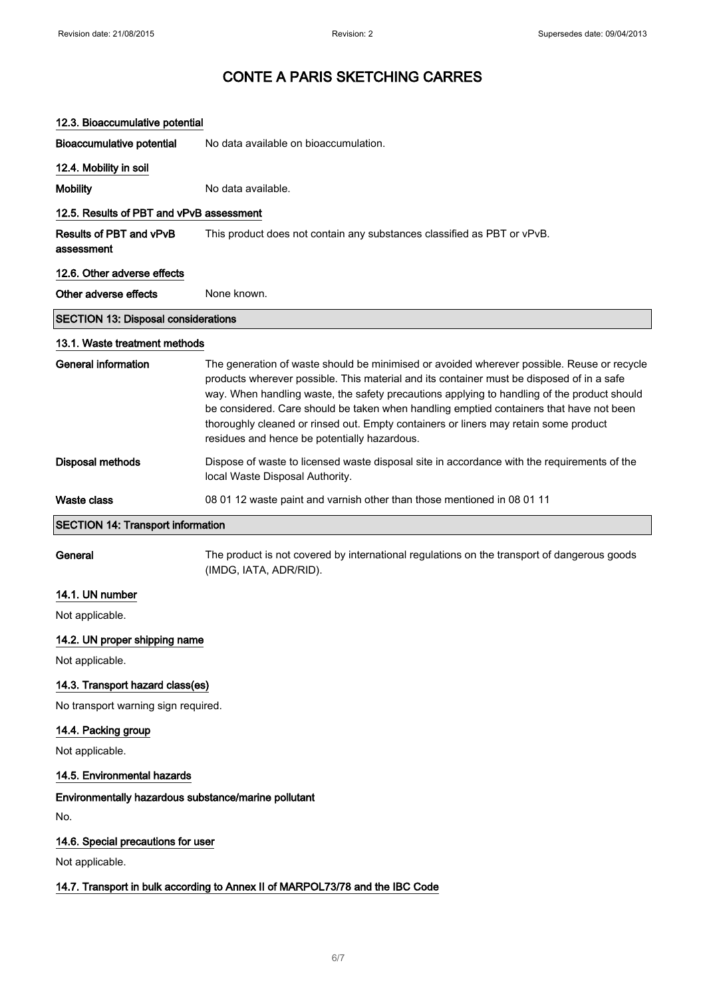| 12.3. Bioaccumulative potential                      |                                                                                                                                                                                                                                                                                                                                                                                                                                                                                                                           |
|------------------------------------------------------|---------------------------------------------------------------------------------------------------------------------------------------------------------------------------------------------------------------------------------------------------------------------------------------------------------------------------------------------------------------------------------------------------------------------------------------------------------------------------------------------------------------------------|
| <b>Bioaccumulative potential</b>                     | No data available on bioaccumulation.                                                                                                                                                                                                                                                                                                                                                                                                                                                                                     |
| 12.4. Mobility in soil                               |                                                                                                                                                                                                                                                                                                                                                                                                                                                                                                                           |
| <b>Mobility</b>                                      | No data available.                                                                                                                                                                                                                                                                                                                                                                                                                                                                                                        |
| 12.5. Results of PBT and vPvB assessment             |                                                                                                                                                                                                                                                                                                                                                                                                                                                                                                                           |
| <b>Results of PBT and vPvB</b><br>assessment         | This product does not contain any substances classified as PBT or vPvB.                                                                                                                                                                                                                                                                                                                                                                                                                                                   |
| 12.6. Other adverse effects                          |                                                                                                                                                                                                                                                                                                                                                                                                                                                                                                                           |
| Other adverse effects                                | None known.                                                                                                                                                                                                                                                                                                                                                                                                                                                                                                               |
| <b>SECTION 13: Disposal considerations</b>           |                                                                                                                                                                                                                                                                                                                                                                                                                                                                                                                           |
| 13.1. Waste treatment methods                        |                                                                                                                                                                                                                                                                                                                                                                                                                                                                                                                           |
| <b>General information</b>                           | The generation of waste should be minimised or avoided wherever possible. Reuse or recycle<br>products wherever possible. This material and its container must be disposed of in a safe<br>way. When handling waste, the safety precautions applying to handling of the product should<br>be considered. Care should be taken when handling emptied containers that have not been<br>thoroughly cleaned or rinsed out. Empty containers or liners may retain some product<br>residues and hence be potentially hazardous. |
| <b>Disposal methods</b>                              | Dispose of waste to licensed waste disposal site in accordance with the requirements of the<br>local Waste Disposal Authority.                                                                                                                                                                                                                                                                                                                                                                                            |
| Waste class                                          | 08 01 12 waste paint and varnish other than those mentioned in 08 01 11                                                                                                                                                                                                                                                                                                                                                                                                                                                   |
| <b>SECTION 14: Transport information</b>             |                                                                                                                                                                                                                                                                                                                                                                                                                                                                                                                           |
| General                                              | The product is not covered by international regulations on the transport of dangerous goods<br>(IMDG, IATA, ADR/RID).                                                                                                                                                                                                                                                                                                                                                                                                     |
| 14.1. UN number                                      |                                                                                                                                                                                                                                                                                                                                                                                                                                                                                                                           |
| Not applicable.                                      |                                                                                                                                                                                                                                                                                                                                                                                                                                                                                                                           |
| 14.2. UN proper shipping name                        |                                                                                                                                                                                                                                                                                                                                                                                                                                                                                                                           |
| Not applicable.                                      |                                                                                                                                                                                                                                                                                                                                                                                                                                                                                                                           |
| 14.3. Transport hazard class(es)                     |                                                                                                                                                                                                                                                                                                                                                                                                                                                                                                                           |
| No transport warning sign required.                  |                                                                                                                                                                                                                                                                                                                                                                                                                                                                                                                           |
| 14.4. Packing group                                  |                                                                                                                                                                                                                                                                                                                                                                                                                                                                                                                           |
| Not applicable.                                      |                                                                                                                                                                                                                                                                                                                                                                                                                                                                                                                           |
| 14.5. Environmental hazards                          |                                                                                                                                                                                                                                                                                                                                                                                                                                                                                                                           |
| Environmentally hazardous substance/marine pollutant |                                                                                                                                                                                                                                                                                                                                                                                                                                                                                                                           |
| No.                                                  |                                                                                                                                                                                                                                                                                                                                                                                                                                                                                                                           |

### 14.6. Special precautions for user

Not applicable.

### 14.7. Transport in bulk according to Annex II of MARPOL73/78 and the IBC Code